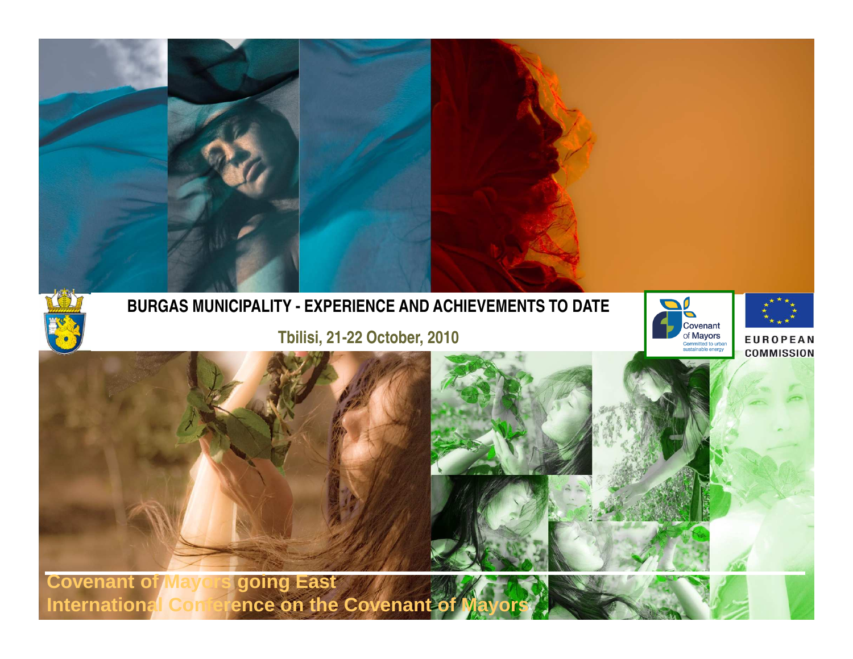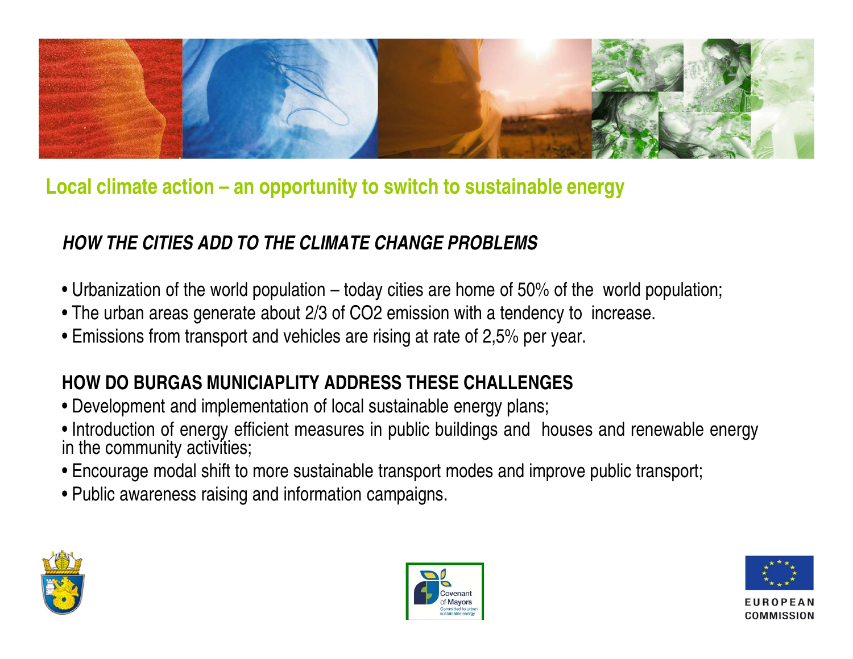

# **Local climate action – an opportunity to switch to sustainable energy**

### **HOW THE CITIES ADD TO THE CLIMATE CHANGE PROBLEMS**

- Urbanization of the world population today cities are home of 50% of the world population;
- The urban areas generate about 2/3 of CO2 emission with <sup>a</sup> tendency to increase.
- Emissions from transport and vehicles are rising at rate of 2,5% per year.

## **HOW DO BURGAS MUNICIAPLITY ADDRESS THESE CHALLENGES**

- Development and implementation of local sustainable energy plans;
- Introduction of energy efficient measures in public buildings and houses and renewable energyin the community activities;
- Encourage modal shift to more sustainable transport modes and improve public transport;
- Public awareness raising and information campaigns.





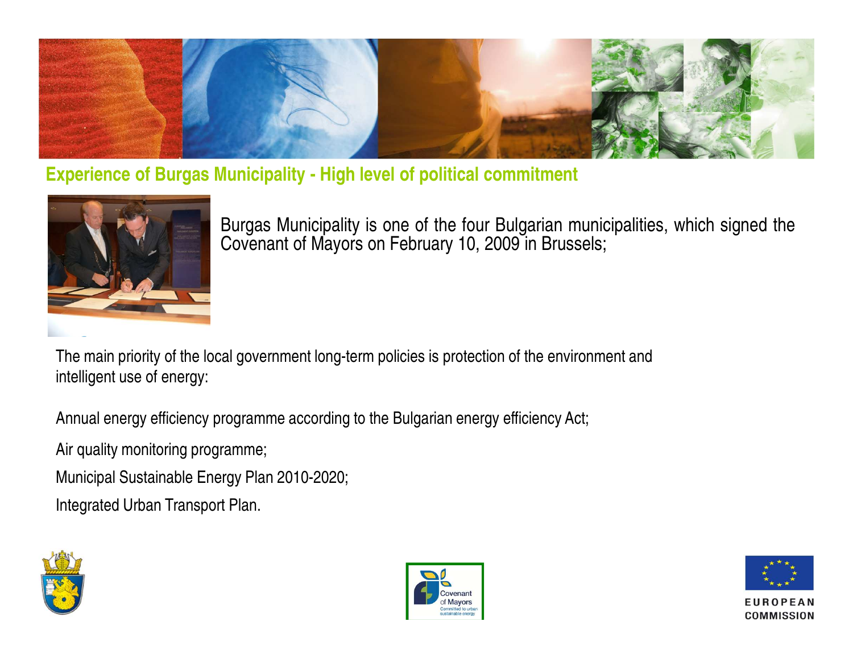

**Experience of Burgas Municipality - High level of political commitment**



Burgas Municipality is one of the four Bulgarian municipalities, which signed theCovenant of Mayors on February 10, 2009 in Brussels;

The main priority of the local government long-term policies is protection of the environment and intelligent use of energy:

Annual energy efficiency programme according to the Bulgarian energy efficiency Act;

Air quality monitoring programme;

Municipal Sustainable Energy Plan 2010-2020;

Integrated Urban Transport Plan.





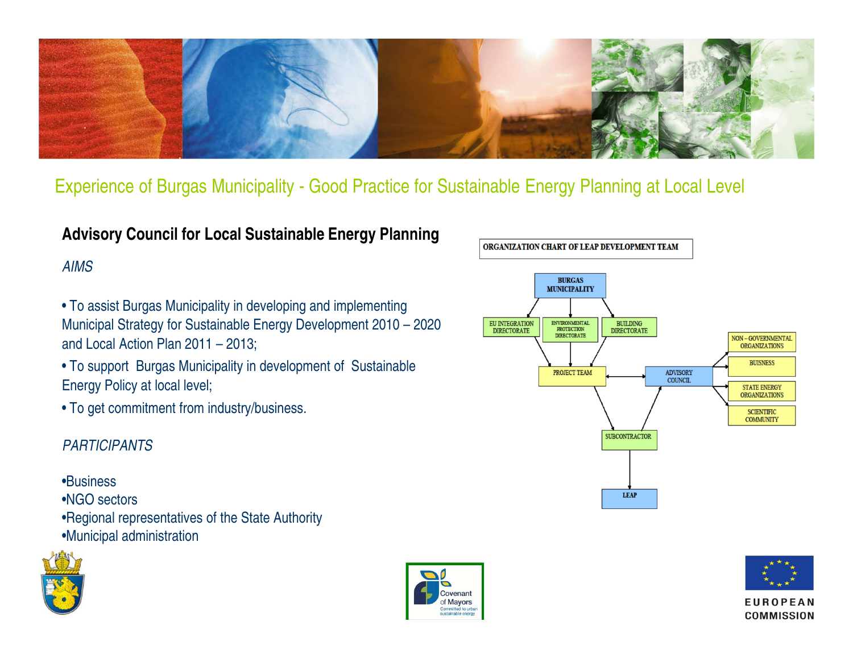

Experience of Burgas Municipality - Good Practice for Sustainable Energy Planning at Local Level

#### **Advisory Council for Local Sustainable Energy Planning**

#### AIMS

- To assist Burgas Municipality in developing and implementing Municipal Strategy for Sustainable Energy Development 2010 – 2020 and Local Action Plan 2011 – 2013;
- To support Burgas Municipality in development of Sustainable Energy Policy at local level;
- To get commitment from industry/business.

#### PARTICIPANTS

#### •Business

- •NGO sectors
- •Regional representatives of the State Authority
- •Municipal administration







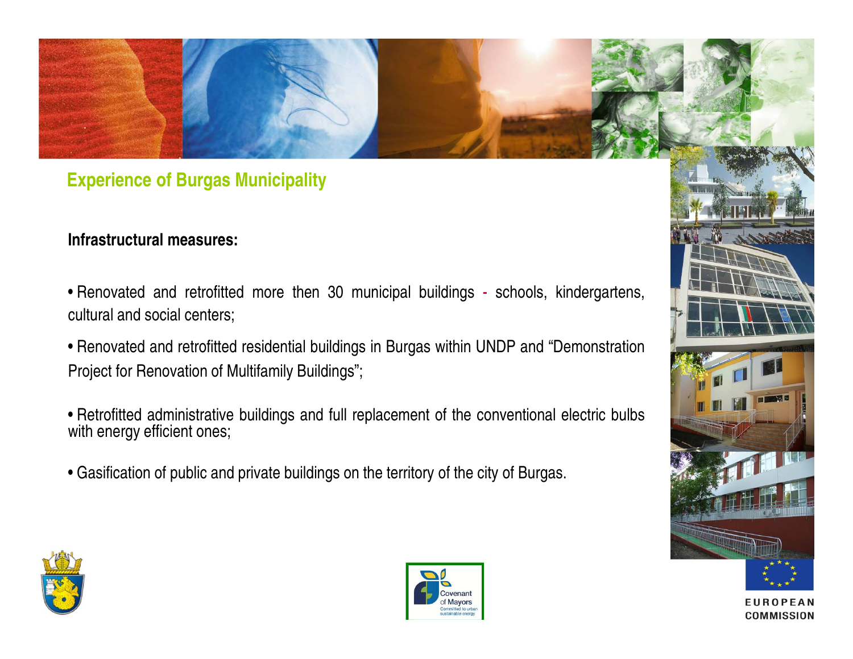### **Experience of Burgas Municipality**

#### **Infrastructural measures:**

- Renovated and retrofitted more then 30 municipal buildings schools, kindergartens, cultural and social centers;
- Renovated and retrofitted residential buildings in Burgas within UNDP and "DemonstrationProject for Renovation of Multifamily Buildings";
- Retrofitted administrative buildings and full replacement of the conventional electric bulbswith energy efficient ones;
- Gasification of public and private buildings on the territory of the city of Burgas.





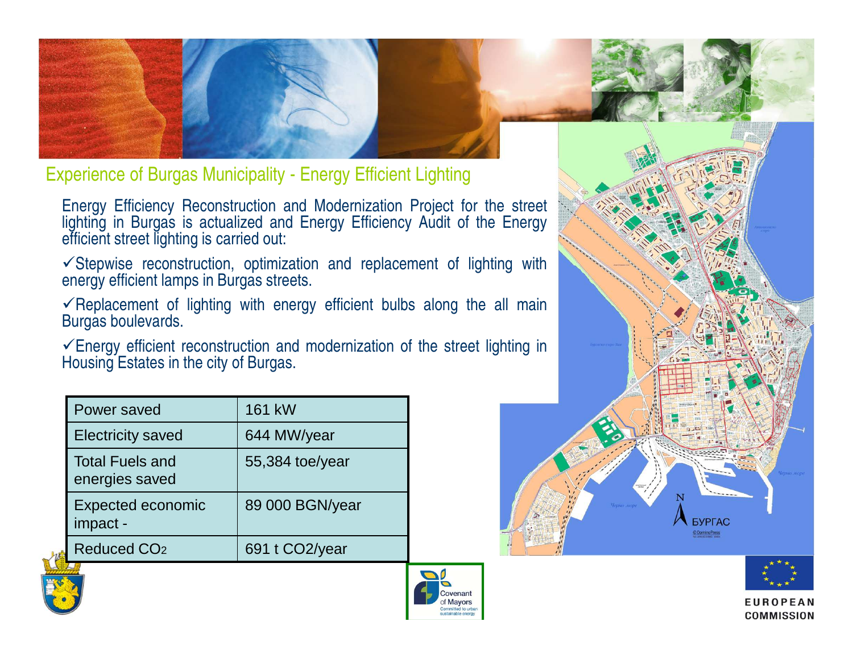

Experience of Burgas Municipality - Energy Efficient Lighting

Energy Efficiency Reconstruction and Modernization Project for the street lighting in Burgas is actualized and Energy Efficiency Audit of the Energy efficient street lighting is carried out:

 $\checkmark$ Stepwise reconstruction, optimization and replacement of lighting with energy efficient lamps in Burgas streets.

 $\checkmark$ Replacement of lighting with energy efficient bulbs along the all main Burgas boulevards.

 $\checkmark$  Energy efficient reconstruction and modernization of the street lighting in Housing Estates in the city of Burgas.

| Power saved                              | 161 kW          |
|------------------------------------------|-----------------|
| <b>Electricity saved</b>                 | 644 MW/year     |
| <b>Total Fuels and</b><br>energies saved | 55,384 toe/year |
| <b>Expected economic</b><br>impact -     | 89 000 BGN/year |
| <b>Reduced CO<sub>2</sub></b>            | 691 t CO2/year  |









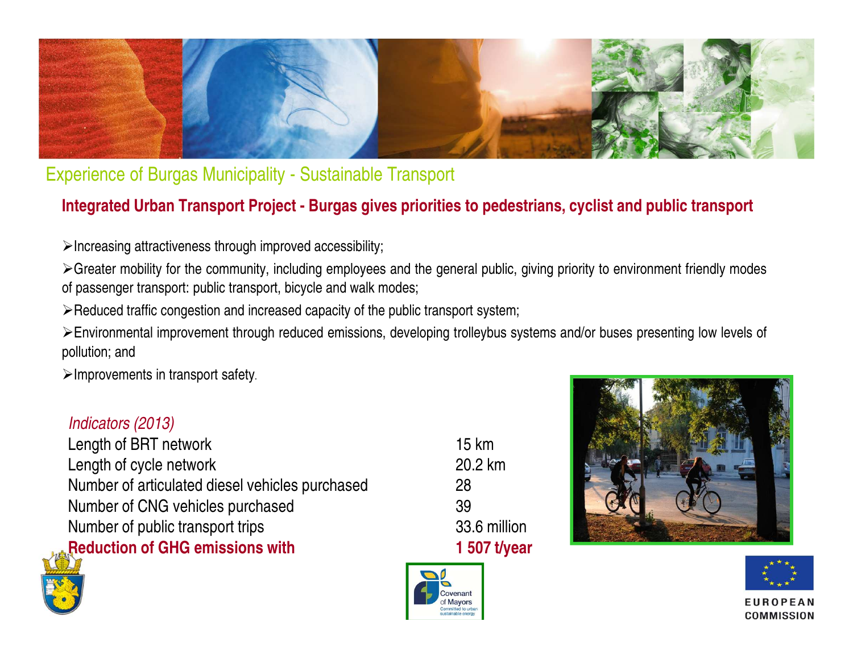

Experience of Burgas Municipality - Sustainable Transport

### **Integrated Urban Transport Project - Burgas gives priorities to pedestrians, cyclist and public transport**

 $\triangleright$  Increasing attractiveness through improved accessibility;

≻Greater mobility for the community, including employees and the general public, giving priority to environment friendly modes of passenger transport: public transport, bicycle and walk modes;

 $\triangleright$  Reduced traffic congestion and increased capacity of the public transport system;

Environmental improvement through reduced emissions, developing trolleybus systems and/or buses presenting low levels of pollution; and

 $\triangleright$  Improvements in transport safety.

#### Indicators (2013)

Length of BRT network 15 km Length of cycle network Number of articulated diesel vehicles purchased 28Number of CNG vehicles purchased Number of public transport trips **Reduction of GHG emissions with** 

20.2 km 39 33.6 million 1 507 t/year







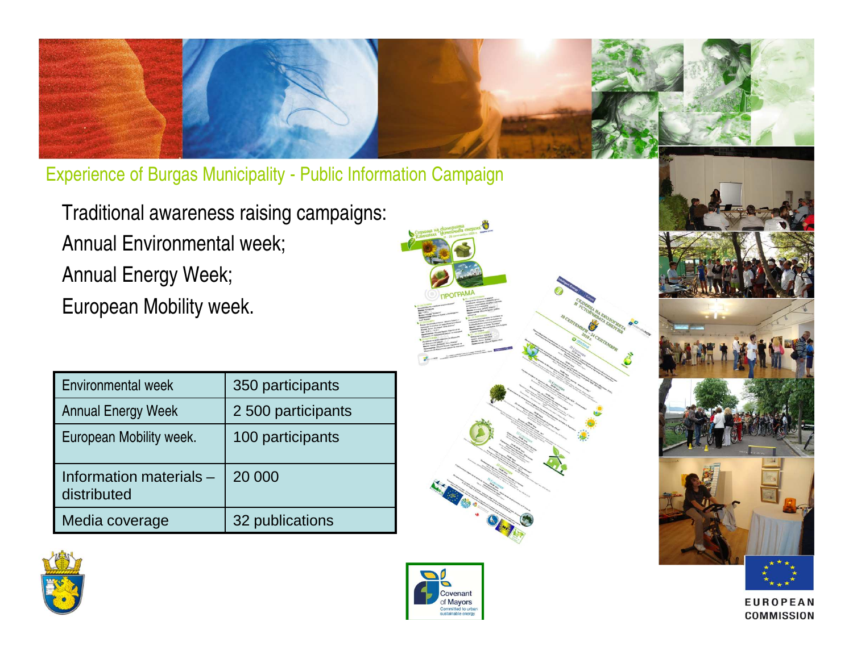

Experience of Burgas Municipality - Public Information Campaign

Traditional awareness raising campaigns: Annual Environmental week; Annual Energy Week; European Mobility week.

| Environmental week                     | 350 participants   |
|----------------------------------------|--------------------|
| <b>Annual Energy Week</b>              | 2 500 participants |
| European Mobility week.                | 100 participants   |
| Information materials -<br>distributed | 20 000             |
| Media coverage                         | 32 publications    |